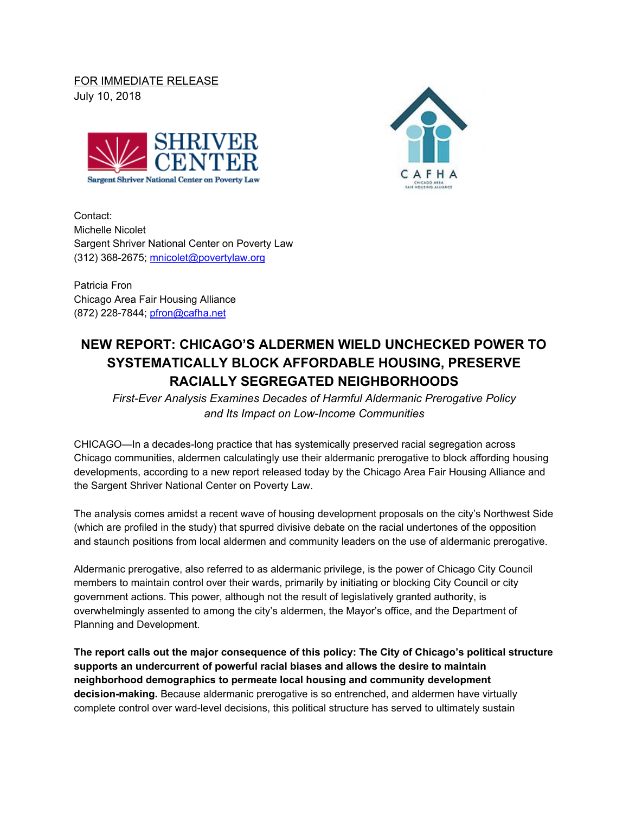FOR IMMEDIATE RELEASE July 10, 2018





Contact: Michelle Nicolet Sargent Shriver National Center on Poverty Law (312) 368-2675; [mnicolet@povertylaw.org](mailto:mnicolet@povertylaw.org)

Patricia Fron Chicago Area Fair Housing Alliance (872) 228-7844; [pfron@cafha.net](mailto:pfron@cafha.net)

## **NEW REPORT: CHICAGO'S ALDERMEN WIELD UNCHECKED POWER TO SYSTEMATICALLY BLOCK AFFORDABLE HOUSING, PRESERVE RACIALLY SEGREGATED NEIGHBORHOODS**

*First-Ever Analysis Examines Decades of Harmful Aldermanic Prerogative Policy and Its Impact on Low-Income Communities*

CHICAGO—In a decades-long practice that has systemically preserved racial segregation across Chicago communities, aldermen calculatingly use their aldermanic prerogative to block affording housing developments, according to a new report released today by the Chicago Area Fair Housing Alliance and the Sargent Shriver National Center on Poverty Law.

The analysis comes amidst a recent wave of housing development proposals on the city's Northwest Side (which are profiled in the study) that spurred divisive debate on the racial undertones of the opposition and staunch positions from local aldermen and community leaders on the use of aldermanic prerogative.

Aldermanic prerogative, also referred to as aldermanic privilege, is the power of Chicago City Council members to maintain control over their wards, primarily by initiating or blocking City Council or city government actions. This power, although not the result of legislatively granted authority, is overwhelmingly assented to among the city's aldermen, the Mayor's office, and the Department of Planning and Development.

**The report calls out the major consequence of this policy: The City of Chicago's political structure supports an undercurrent of powerful racial biases and allows the desire to maintain neighborhood demographics to permeate local housing and community development decision-making.** Because aldermanic prerogative is so entrenched, and aldermen have virtually complete control over ward-level decisions, this political structure has served to ultimately sustain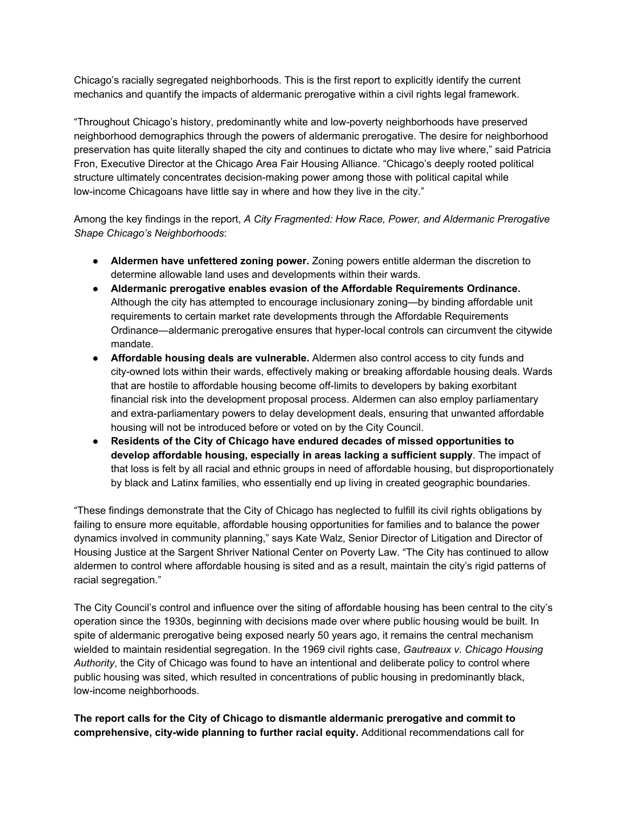Chicago's racially segregated neighborhoods. This is the first report to explicitly identify the current mechanics and quantify the impacts of aldermanic prerogative within a civil rights legal framework.

"Throughout Chicago's history, predominantly white and low-poverty neighborhoods have preserved neighborhood demographics through the powers of aldermanic prerogative. The desire for neighborhood preservation has quite literally shaped the city and continues to dictate who may live where," said Patricia Fron, Executive Director at the Chicago Area Fair Housing Alliance. "Chicago's deeply rooted political structure ultimately concentrates decision-making power among those with political capital while low-income Chicagoans have little say in where and how they live in the city."

Among the key findings in the report, *A City Fragmented: How Race, Power, and Aldermanic Prerogative Shape Chicago's Neighborhoods*:

- **Aldermen have unfettered zoning power.** Zoning powers entitle alderman the discretion to determine allowable land uses and developments within their wards.
- **Aldermanic prerogative enables evasion of the Affordable Requirements Ordinance.** Although the city has attempted to encourage inclusionary zoning—by binding affordable unit requirements to certain market rate developments through the Affordable Requirements Ordinance—aldermanic prerogative ensures that hyper-local controls can circumvent the citywide mandate.
- **Affordable housing deals are vulnerable.** Aldermen also control access to city funds and city-owned lots within their wards, effectively making or breaking affordable housing deals. Wards that are hostile to affordable housing become off-limits to developers by baking exorbitant financial risk into the development proposal process. Aldermen can also employ parliamentary and extra-parliamentary powers to delay development deals, ensuring that unwanted affordable housing will not be introduced before or voted on by the City Council.
- **Residents of the City of Chicago have endured decades of missed opportunities to develop affordable housing, especially in areas lacking a sufficient supply**. The impact of that loss is felt by all racial and ethnic groups in need of affordable housing, but disproportionately by black and Latinx families, who essentially end up living in created geographic boundaries.

"These findings demonstrate that the City of Chicago has neglected to fulfill its civil rights obligations by failing to ensure more equitable, affordable housing opportunities for families and to balance the power dynamics involved in community planning," says Kate Walz, Senior Director of Litigation and Director of Housing Justice at the Sargent Shriver National Center on Poverty Law. "The City has continued to allow aldermen to control where affordable housing is sited and as a result, maintain the city's rigid patterns of racial segregation."

The City Council's control and influence over the siting of affordable housing has been central to the city's operation since the 1930s, beginning with decisions made over where public housing would be built. In spite of aldermanic prerogative being exposed nearly 50 years ago, it remains the central mechanism wielded to maintain residential segregation. In the 1969 civil rights case, *Gautreaux v. Chicago Housing Authority*, the City of Chicago was found to have an intentional and deliberate policy to control where public housing was sited, which resulted in concentrations of public housing in predominantly black, low-income neighborhoods.

**The report calls for the City of Chicago to dismantle aldermanic prerogative and commit to comprehensive, city-wide planning to further racial equity.** Additional recommendations call for